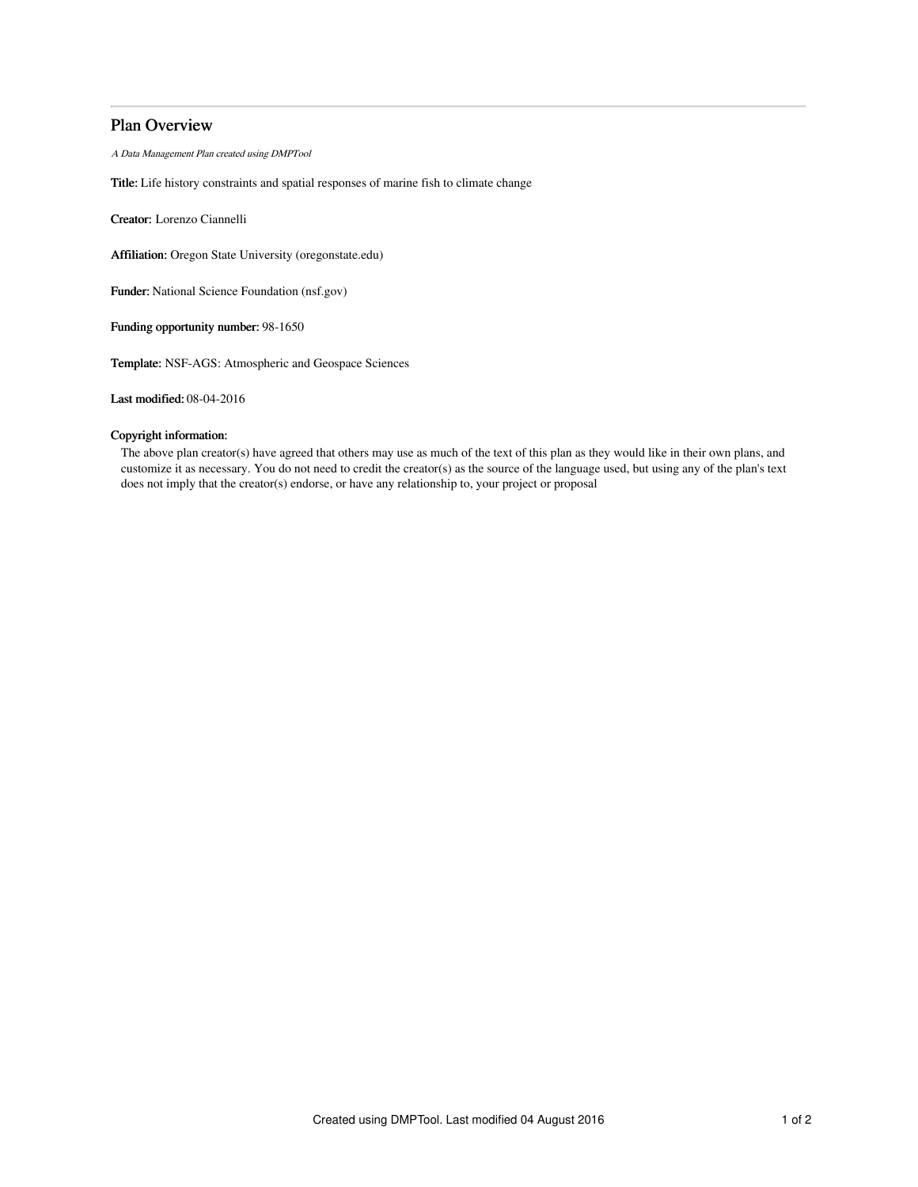## Plan Overview

A Data Management Plan created using DMPTool

Title: Life history constraints and spatial responses of marine fish to climate change

Creator: Lorenzo Ciannelli

Affiliation: Oregon State University (oregonstate.edu)

Funder: National Science Foundation (nsf.gov)

Funding opportunity number: 98-1650

Template: NSF-AGS: Atmospheric and Geospace Sciences

Last modified: 08-04-2016

## Copyright information:

The above plan creator(s) have agreed that others may use as much of the text of this plan as they would like in their own plans, and customize it as necessary. You do not need to credit the creator(s) as the source of the language used, but using any of the plan's text does not imply that the creator(s) endorse, or have any relationship to, your project or proposal